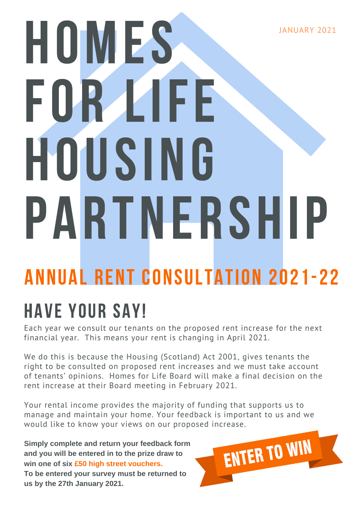JANUARY 2021

# HOMES FOR LIFE HOUSING PARTNERSHIP

# Annual Rent consultation 2021-22

# HAVE YOUR SAY!

Each year we consult our tenants on the proposed rent increase for the next financial year. This means your rent is changing in April 2021.

We do this is because the Housing (Scotland) Act 2001, gives tenants the right to be consulted on proposed rent increases and we must take account of tenants' opinions. Homes for Life Board will make a final decision on the rent increase at their Board meeting in February 2021.

Your rental income provides the majority of funding that supports us to manage and maintain your home. Your feedback is important to us and we would like to know your views on our proposed increase.

**Simply complete and return your feedback form and you will be entered in to the prize draw to win one of six £50 high street vouchers. To be entered your survey must be returned to us by the 27th January 2021.**

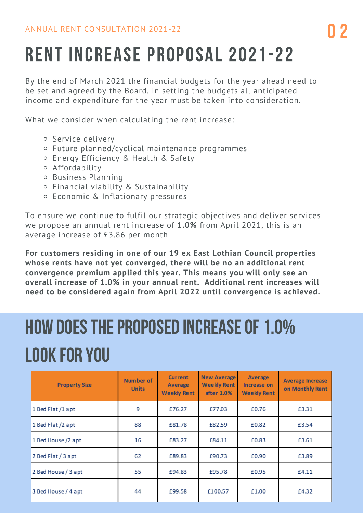# RENT INCREASE PROPOSAL 2021-22

By the end of March 2021 the financial budgets for the year ahead need to be set and agreed by the Board. In setting the budgets all anticipated income and expenditure for the year must be taken into consideration.

What we consider when calculating the rent increase:

- o Service delivery
- Future planned/cyclical maintenance programmes
- Energy Efficiency & Health & Safety
- Affordability
- Business Planning
- Financial viability & Sustainability
- Economic & Inflationary pressures

To ensure we continue to fulfil our strategic objectives and deliver services we propose an annual rent increase of **1.0%** from April 2021, this is an average increase of £3.86 per month.

**For customers residing in one of our 19 ex East Lothian Council properties whose rents have not yet converged, there will be no an additional rent convergence premium applied this year. This means you will only see an overall increase of 1.0% in your annual rent. Additional rent increases will need to be considered again from April 2022 until convergence is achieved.**

# HOW DOES THE PROPOSED INCREASE OF 1.0% look for you

| <b>Property Size</b> | Number of<br><b>Units</b> | <b>Current</b><br>Average<br><b>Weekly Rent</b> | <b>New Average</b><br><b>Weekly Rent</b><br>after 1.0% | Average<br>Increase on<br><b>Weekly Rent</b> | <b>Average Increase</b><br>on Monthly Rent |
|----------------------|---------------------------|-------------------------------------------------|--------------------------------------------------------|----------------------------------------------|--------------------------------------------|
| 1 Bed Flat /1 apt    | 9                         | £76.27                                          | £77.03                                                 | £0.76                                        | £3.31                                      |
| 1 Bed Flat /2 apt    | 88                        | £81.78                                          | £82.59                                                 | £0.82                                        | £3.54                                      |
| 1 Bed House /2 apt   | 16                        | £83.27                                          | £84.11                                                 | £0.83                                        | £3.61                                      |
| 2 Bed Flat / 3 apt   | 62                        | £89.83                                          | £90.73                                                 | £0.90                                        | £3.89                                      |
| 2 Bed House / 3 apt  | 55                        | £94.83                                          | £95.78                                                 | £0.95                                        | £4.11                                      |
| 3 Bed House / 4 apt  | 44                        | £99.58                                          | £100.57                                                | £1.00                                        | £4.32                                      |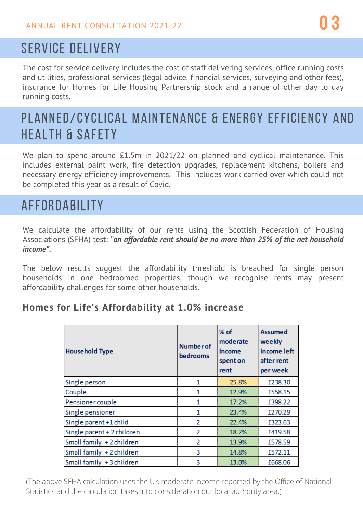### SERVICE DELIVERY

The cost for service delivery includes the cost of staff delivering services, office running costs and utilities, professional services (legal advice, financial services, surveying and other fees), insurance for Homes for Life Housing Partnership stock and a range of other day to day running costs.

## PLANNED/CYCLICAL MAINTENANCE & ENERGY EFFICIENCY AND HEALTH & SAFETY

We plan to spend around £1.5m in 2021/22 on planned and cyclical maintenance. This includes external paint work, fire detection upgrades, replacement kitchens, boilers and necessary energy efficiency improvements. This includes work carried over which could not be completed this year as a result of Covid.

# AFFORDABILITY

We calculate the affordability of our rents using the Scottish Federation of Housing Associations (SFHA) test: *"an affordable rent should be no more than 25% of the net household income".*

The below results suggest the affordability threshold is breached for single person households in one bedroomed properties, though we recognise rents may present affordability challenges for some other households.

#### **Homes for Life's Affordability at 1.0% increase**

| <b>Household Type</b>      | <b>Number of</b><br>bedrooms | % of<br>moderate<br>income<br>spent on<br>rent | <b>Assumed</b><br>weekly<br>income left<br>after rent<br>per week |
|----------------------------|------------------------------|------------------------------------------------|-------------------------------------------------------------------|
| Single person              | 1                            | 25.8%                                          | £238.30                                                           |
| Couple                     | 1                            | 12.9%                                          | £558.15                                                           |
| Pensioner couple           | 1                            | 17.2%                                          | £398.22                                                           |
| Single pensioner           | 1                            | 23.4%                                          | £270.29                                                           |
| Single parent +1 child     | 2                            | 22.4%                                          | £323.63                                                           |
| Single parent + 2 children | $\overline{2}$               | 18.2%                                          | £419.58                                                           |
| Small family +2 children   | $\overline{2}$               | 13.9%                                          | £578.59                                                           |
| Small family +2 children   | 3                            | 14.8%                                          | £572.11                                                           |
| Small family +3 children   | 3                            | 13.0%                                          | £668.06                                                           |

(The above SFHA calculation uses the UK moderate income reported by the Office of National Statistics and the calculation takes into consideration our local authority area.)